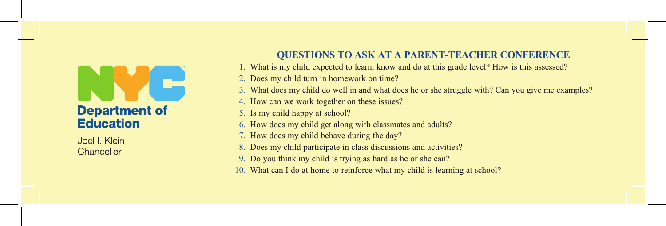## **Department of Education**

Joel I. Klein Chancellor

## **QUESTIONS TO ASK AT A PARENT-TEACHER CONFERENCE**

- 1. What is my child expected to learn, know and do at this grade level? How is this assessed?
- 2. Does my child turn in homework on time?
- 3. What does my child do well in and what does he or she struggle with? Can you give me examples?
- 4. How can we work together on these issues?
- 5. Is my child happy at school?
- 6. How does my child get along with classmates and adults?
- 7. How does my child behave during the day?
- 8. Does my child participate in class discussions and activities?
- 9. Do you think my child is trying as hard as he or she can?
- 10. What can I do at home to reinforce what my child is learning at school?